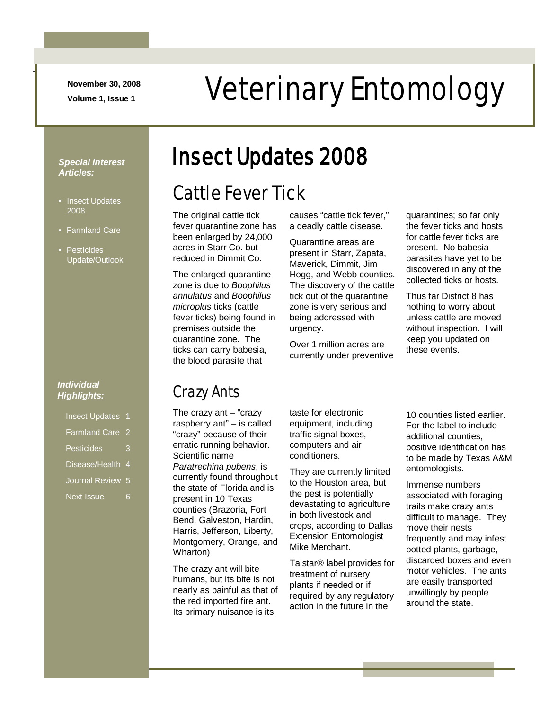**November 30, 2008**

-

# November 30, 2008<br>Veterinary Entomology

*Special Interest Articles:*

- Insect Updates 2008
- Farmland Care
- Pesticides Update/Outlook

#### *Individual Highlights:*

- Insect Updates 1
- Farmland Care 2
- Pesticides 3
- Disease/Health 4
- Journal Review 5
- Next Issue 6

# Insect Updates 2008

# Cattle Fever Tick

The original cattle tick fever quarantine zone has been enlarged by 24,000 acres in Starr Co. but reduced in Dimmit Co.

The enlarged quarantine zone is due to *Boophilus annulatus* and *Boophilus microplus* ticks (cattle fever ticks) being found in premises outside the quarantine zone. The ticks can carry babesia, the blood parasite that

causes "cattle tick fever," a deadly cattle disease.

Quarantine areas are present in Starr, Zapata, Maverick, Dimmit, Jim Hogg, and Webb counties. The discovery of the cattle tick out of the quarantine zone is very serious and being addressed with urgency.

Over 1 million acres are currently under preventive quarantines; so far only the fever ticks and hosts for cattle fever ticks are present. No babesia parasites have yet to be discovered in any of the collected ticks or hosts.

Thus far District 8 has nothing to worry about unless cattle are moved without inspection. I will keep you updated on these events.

# Crazy Ants

The crazy ant  $-$  "crazy raspberry ant" – is called "crazy" because of their erratic running behavior. Scientific name *Paratrechina pubens*, is currently found throughout the state of Florida and is present in 10 Texas counties (Brazoria, Fort Bend, Galveston, Hardin, Harris, Jefferson, Liberty, Montgomery, Orange, and Wharton)

The crazy ant will bite humans, but its bite is not nearly as painful as that of the red imported fire ant. Its primary nuisance is its

taste for electronic equipment, including traffic signal boxes, computers and air conditioners.

They are currently limited to the Houston area, but the pest is potentially devastating to agriculture in both livestock and crops, according to Dallas Extension Entomologist Mike Merchant.

Talstar® label provides for treatment of nursery plants if needed or if required by any regulatory action in the future in the

10 counties listed earlier. For the label to include additional counties, positive identification has to be made by Texas A&M entomologists.

Immense numbers associated with foraging trails make crazy ants difficult to manage. They move their nests frequently and may infest potted plants, garbage, discarded boxes and even motor vehicles. The ants are easily transported unwillingly by people around the state.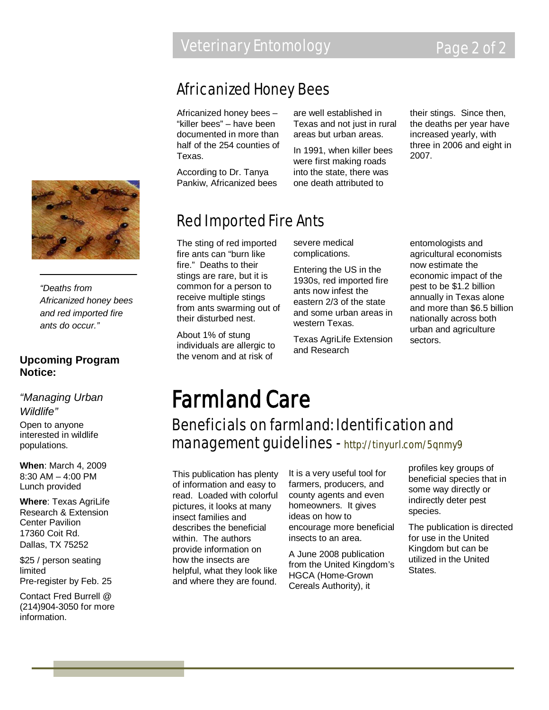## Africanized Honey Bees

Africanized honey bees – "killer bees" – have been documented in more than half of the 254 counties of Texas.

According to Dr. Tanya Pankiw, Africanized bees are well established in Texas and not just in rural areas but urban areas.

In 1991, when killer bees were first making roads into the state, there was one death attributed to

their stings. Since then, the deaths per year have increased yearly, with three in 2006 and eight in 2007.



The sting of red imported fire ants can "burn like fire." Deaths to their stings are rare, but it is common for a person to receive multiple stings from ants swarming out of their disturbed nest.

About 1% of stung individuals are allergic to the venom and at risk of

severe medical complications.

Entering the US in the 1930s, red imported fire ants now infest the eastern 2/3 of the state and some urban areas in western Texas.

Texas AgriLife Extension and Research

entomologists and agricultural economists now estimate the economic impact of the pest to be \$1.2 billion annually in Texas alone and more than \$6.5 billion nationally across both urban and agriculture sectors.

# Farmland Care

## Beneficials on farmland: Identification and management guidelines - http://tinyurl.com/5qnmy9

This publication has plenty of information and easy to read. Loaded with colorful pictures, it looks at many insect families and describes the beneficial within. The authors provide information on how the insects are helpful, what they look like and where they are found.

It is a very useful tool for farmers, producers, and county agents and even homeowners. It gives ideas on how to encourage more beneficial insects to an area.

A June 2008 publication from the United Kingdom's HGCA (Home-Grown Cereals Authority), it

profiles key groups of beneficial species that in some way directly or indirectly deter pest species.

The publication is directed for use in the United Kingdom but can be utilized in the United States.



*"Deaths from Africanized honey bees and red imported fire ants do occur."*

#### **Upcoming Program Notice:**

*"Managing Urban Wildlife"* Open to anyone interested in wildlife populations.

**When**: March 4, 2009 8:30 AM – 4:00 PM Lunch provided

**Where**: Texas AgriLife Research & Extension Center Pavilion 17360 Coit Rd. Dallas, TX 75252

\$25 / person seating limited Pre-register by Feb. 25

Contact Fred Burrell @ (214)904-3050 for more information.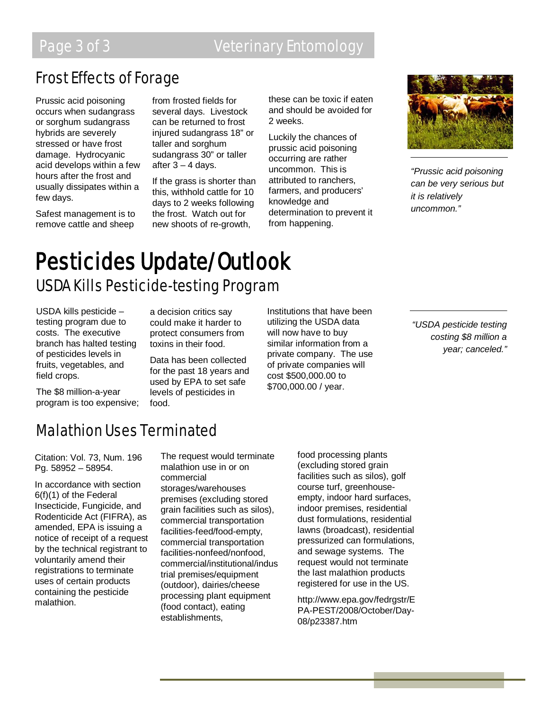# Page 3 of 3 **Veterinary Entomology**

## Frost Effects of Forage

Prussic acid poisoning occurs when sudangrass or sorghum sudangrass hybrids are severely stressed or have frost damage. Hydrocyanic acid develops within a few hours after the frost and usually dissipates within a few days.

Safest management is to remove cattle and sheep

from frosted fields for several days. Livestock can be returned to frost injured sudangrass 18" or taller and sorghum sudangrass 30" or taller after  $3 - 4$  days.

If the grass is shorter than this, withhold cattle for 10 days to 2 weeks following the frost. Watch out for new shoots of re-growth,

these can be toxic if eaten and should be avoided for 2 weeks.

Luckily the chances of prussic acid poisoning occurring are rather uncommon. This is attributed to ranchers, farmers, and producers' knowledge and determination to prevent it from happening.



*"Prussic acid poisoning can be very serious but it is relatively uncommon."*

# **Pesticides Update/Outlook**<br>USDA Kills Pesticide-testing Program

USDA kills pesticide – testing program due to costs. The executive branch has halted testing of pesticides levels in fruits, vegetables, and field crops.

a decision critics say could make it harder to protect consumers from toxins in their food.

Data has been collected for the past 18 years and used by EPA to set safe levels of pesticides in food.

Institutions that have been utilizing the USDA data will now have to buy similar information from a private company. The use of private companies will cost \$500,000.00 to \$700,000.00 / year.

*"USDA pesticide testing costing \$8 million a year; canceled."*

The \$8 million-a-year program is too expensive;

# Malathion Uses Terminated

Citation: Vol. 73, Num. 196 Pg. 58952 – 58954.

In accordance with section 6(f)(1) of the Federal Insecticide, Fungicide, and Rodenticide Act (FIFRA), as amended, EPA is issuing a notice of receipt of a request by the technical registrant to voluntarily amend their registrations to terminate uses of certain products containing the pesticide malathion.

The request would terminate malathion use in or on commercial storages/warehouses premises (excluding stored grain facilities such as silos), commercial transportation facilities-feed/food-empty, commercial transportation facilities-nonfeed/nonfood, commercial/institutional/indus trial premises/equipment (outdoor), dairies/cheese processing plant equipment (food contact), eating establishments,

food processing plants (excluding stored grain facilities such as silos), golf course turf, greenhouseempty, indoor hard surfaces, indoor premises, residential dust formulations, residential lawns (broadcast), residential pressurized can formulations, and sewage systems. The request would not terminate the last malathion products registered for use in the US.

http://www.epa.gov/fedrgstr/E PA-PEST/2008/October/Day-08/p23387.htm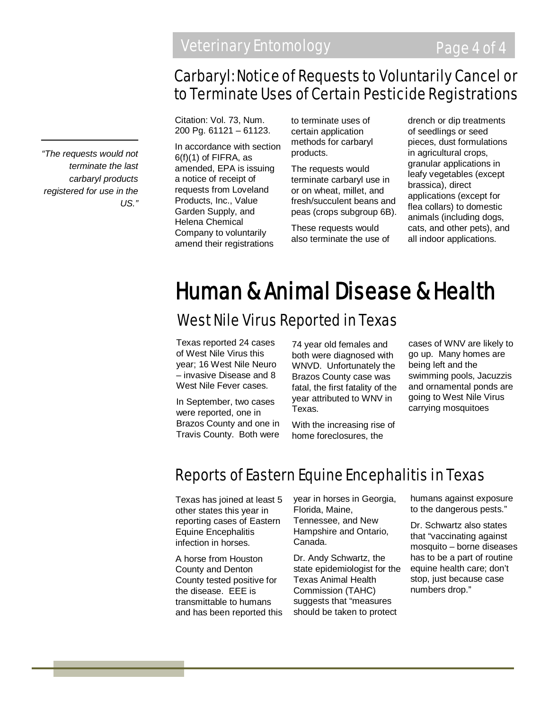## Carbaryl: Notice of Requests to Voluntarily Cancel or to Terminate Uses of Certain Pesticide Registrations

Citation: Vol. 73, Num. 200 Pg. 61121 – 61123.

In accordance with section 6(f)(1) of FIFRA, as amended, EPA is issuing a notice of receipt of requests from Loveland Products, Inc., Value Garden Supply, and Helena Chemical Company to voluntarily amend their registrations

to terminate uses of certain application methods for carbaryl products.

The requests would terminate carbaryl use in or on wheat, millet, and fresh/succulent beans and peas (crops subgroup 6B).

These requests would also terminate the use of drench or dip treatments of seedlings or seed pieces, dust formulations in agricultural crops, granular applications in leafy vegetables (except brassica), direct applications (except for flea collars) to domestic animals (including dogs, cats, and other pets), and all indoor applications.

# Human & Animal Disease & Health

### West Nile Virus Reported in Texas

Texas reported 24 cases of West Nile Virus this year; 16 West Nile Neuro – invasive Disease and 8 West Nile Fever cases.

In September, two cases were reported, one in Brazos County and one in Travis County. Both were

74 year old females and both were diagnosed with WNVD. Unfortunately the Brazos County case was fatal, the first fatality of the year attributed to WNV in Texas.

With the increasing rise of home foreclosures, the

cases of WNV are likely to go up. Many homes are being left and the swimming pools, Jacuzzis and ornamental ponds are going to West Nile Virus carrying mosquitoes

# Reports of Eastern Equine Encephalitis in Texas

Texas has joined at least 5 other states this year in reporting cases of Eastern Equine Encephalitis infection in horses.

A horse from Houston County and Denton County tested positive for the disease. EEE is transmittable to humans and has been reported this year in horses in Georgia, Florida, Maine, Tennessee, and New Hampshire and Ontario, Canada.

Dr. Andy Schwartz, the state epidemiologist for the Texas Animal Health Commission (TAHC) suggests that "measures should be taken to protect

humans against exposure to the dangerous pests."

Dr. Schwartz also states that "vaccinating against mosquito – borne diseases has to be a part of routine equine health care; don't stop, just because case numbers drop."

*"The requests would not terminate the last carbaryl products registered for use in the US."*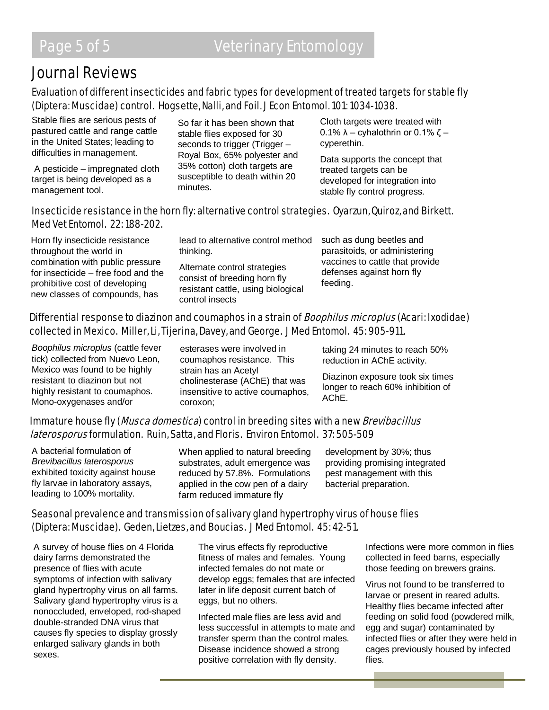## Journal Reviews

#### Evaluation of different insecticides and fabric types for development of treated targets for stable fly (Diptera: Muscidae) control. Hogsette, Nalli, and Foil. J Econ Entomol. 101: 1034-1038.

Stable flies are serious pests of pastured cattle and range cattle in the United States; leading to difficulties in management.

A pesticide – impregnated cloth target is being developed as a management tool.

So far it has been shown that stable flies exposed for 30 seconds to trigger (Trigger – Royal Box, 65% polyester and 35% cotton) cloth targets are susceptible to death within 20 minutes.

Cloth targets were treated with 0.1%  $\lambda$  – cyhalothrin or 0.1% ζ – cyperethin.

Data supports the concept that treated targets can be developed for integration into stable fly control progress.

#### Insecticide resistance in the horn fly: alternative control strategies. Oyarzun, Quiroz, and Birkett. Med Vet Entomol. 22: 188-202.

Horn fly insecticide resistance throughout the world in combination with public pressure for insecticide – free food and the prohibitive cost of developing new classes of compounds, has

lead to alternative control method thinking.

Alternate control strategies consist of breeding horn fly resistant cattle, using biological control insects

such as dung beetles and parasitoids, or administering vaccines to cattle that provide defenses against horn fly feeding.

#### Differential response to diazinon and coumaphos in a strain of *Boophilus microplus* (Acari: Ixodidae) collected in Mexico. Miller, Li, Tijerina, Davey, and George. J Med Entomol. 45: 905-911.

*Boophilus microplus* (cattle fever tick) collected from Nuevo Leon, Mexico was found to be highly resistant to diazinon but not highly resistant to coumaphos. Mono-oxygenases and/or

esterases were involved in coumaphos resistance. This strain has an Acetyl cholinesterase (AChE) that was insensitive to active coumaphos, coroxon;

taking 24 minutes to reach 50% reduction in AChE activity.

Diazinon exposure took six times longer to reach 60% inhibition of AChE.

#### Immature house fly (*Musca domestica*) control in breeding sites with a new *Brevibacillus* laterosporus formulation. Ruin, Satta, and Floris. Environ Entomol. 37: 505-509

A bacterial formulation of *Brevibacillus laterosporus* exhibited toxicity against house fly larvae in laboratory assays, leading to 100% mortality.

When applied to natural breeding substrates, adult emergence was reduced by 57.8%. Formulations applied in the cow pen of a dairy farm reduced immature fly

development by 30%; thus providing promising integrated pest management with this bacterial preparation.

#### Seasonal prevalence and transmission of salivary gland hypertrophy virus of house flies (Diptera: Muscidae). Geden, Lietzes, and Boucias. J Med Entomol. 45: 42-51.

A survey of house flies on 4 Florida dairy farms demonstrated the presence of flies with acute symptoms of infection with salivary gland hypertrophy virus on all farms. Salivary gland hypertrophy virus is a nonoccluded, enveloped, rod-shaped double-stranded DNA virus that causes fly species to display grossly enlarged salivary glands in both sexes.

The virus effects fly reproductive fitness of males and females. Young infected females do not mate or develop eggs; females that are infected later in life deposit current batch of eggs, but no others.

Infected male flies are less avid and less successful in attempts to mate and transfer sperm than the control males. Disease incidence showed a strong positive correlation with fly density.

Infections were more common in flies collected in feed barns, especially those feeding on brewers grains.

Virus not found to be transferred to larvae or present in reared adults. Healthy flies became infected after feeding on solid food (powdered milk, egg and sugar) contaminated by infected flies or after they were held in cages previously housed by infected flies.